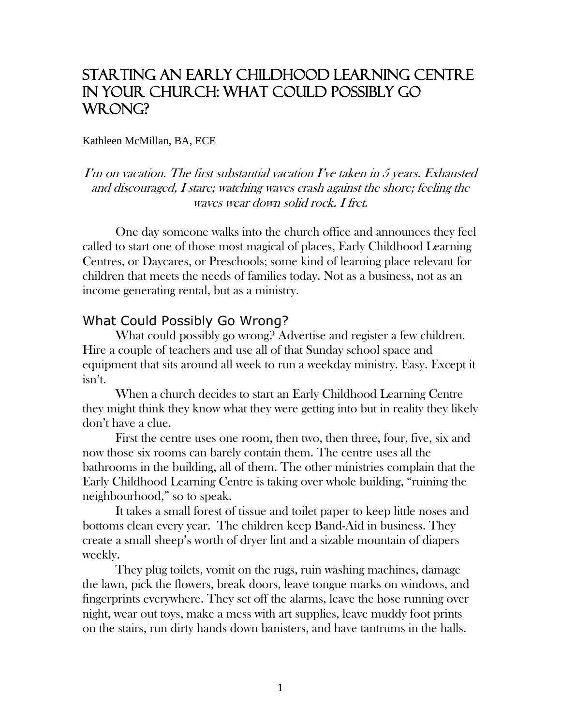# Starting an Early Childhood Learning Centre in your Church: What could possibly go WRONG?

#### Kathleen McMillan, BA, ECE

I'm on vacation. The first substantial vacation I've taken in 5 years. Exhausted and discouraged, I stare; watching waves crash against the shore; feeling the waves wear down solid rock. I fret.

One day someone walks into the church office and announces they feel called to start one of those most magical of places, Early Childhood Learning Centres, or Daycares, or Preschools; some kind of learning place relevant for children that meets the needs of families today. Not as a business, not as an income generating rental, but as a ministry.

#### What Could Possibly Go Wrong?

What could possibly go wrong? Advertise and register a few children. Hire a couple of teachers and use all of that Sunday school space and equipment that sits around all week to run a weekday ministry. Easy. Except it isn't.

When a church decides to start an Early Childhood Learning Centre they might think they know what they were getting into but in reality they likely don't have a clue.

First the centre uses one room, then two, then three, four, five, six and now those six rooms can barely contain them. The centre uses all the bathrooms in the building, all of them. The other ministries complain that the Early Childhood Learning Centre is taking over whole building, "ruining the neighbourhood," so to speak.

It takes a small forest of tissue and toilet paper to keep little noses and bottoms clean every year. The children keep Band-Aid in business. They create a small sheep's worth of dryer lint and a sizable mountain of diapers weekly.

They plug toilets, vomit on the rugs, ruin washing machines, damage the lawn, pick the flowers, break doors, leave tongue marks on windows, and fingerprints everywhere. They set off the alarms, leave the hose running over night, wear out toys, make a mess with art supplies, leave muddy foot prints on the stairs, run dirty hands down banisters, and have tantrums in the halls.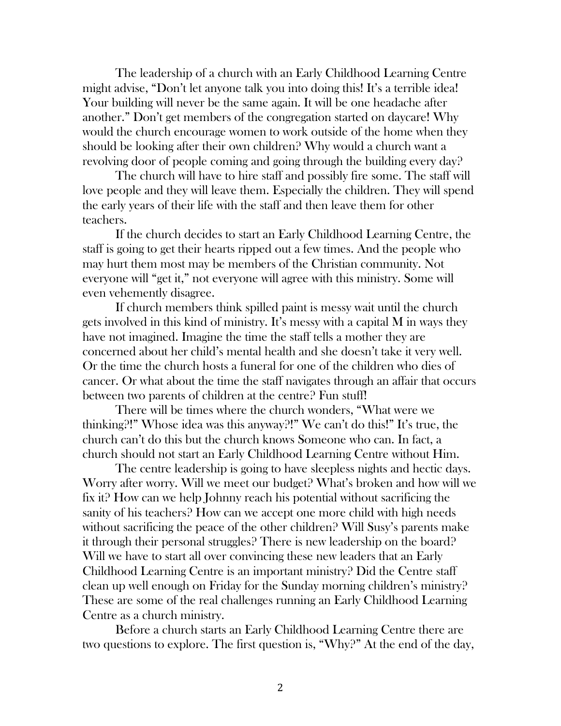The leadership of a church with an Early Childhood Learning Centre might advise, "Don't let anyone talk you into doing this! It's a terrible idea! Your building will never be the same again. It will be one headache after another." Don't get members of the congregation started on daycare! Why would the church encourage women to work outside of the home when they should be looking after their own children? Why would a church want a revolving door of people coming and going through the building every day?

The church will have to hire staff and possibly fire some. The staff will love people and they will leave them. Especially the children. They will spend the early years of their life with the staff and then leave them for other teachers.

If the church decides to start an Early Childhood Learning Centre, the staff is going to get their hearts ripped out a few times. And the people who may hurt them most may be members of the Christian community. Not everyone will "get it," not everyone will agree with this ministry. Some will even vehemently disagree.

If church members think spilled paint is messy wait until the church gets involved in this kind of ministry. It's messy with a capital M in ways they have not imagined. Imagine the time the staff tells a mother they are concerned about her child's mental health and she doesn't take it very well. Or the time the church hosts a funeral for one of the children who dies of cancer. Or what about the time the staff navigates through an affair that occurs between two parents of children at the centre? Fun stuff!

There will be times where the church wonders, "What were we thinking?!" Whose idea was this anyway?!" We can't do this!" It's true, the church can't do this but the church knows Someone who can. In fact, a church should not start an Early Childhood Learning Centre without Him.

The centre leadership is going to have sleepless nights and hectic days. Worry after worry. Will we meet our budget? What's broken and how will we fix it? How can we help Johnny reach his potential without sacrificing the sanity of his teachers? How can we accept one more child with high needs without sacrificing the peace of the other children? Will Susy's parents make it through their personal struggles? There is new leadership on the board? Will we have to start all over convincing these new leaders that an Early Childhood Learning Centre is an important ministry? Did the Centre staff clean up well enough on Friday for the Sunday morning children's ministry? These are some of the real challenges running an Early Childhood Learning Centre as a church ministry.

Before a church starts an Early Childhood Learning Centre there are two questions to explore. The first question is, "Why?" At the end of the day,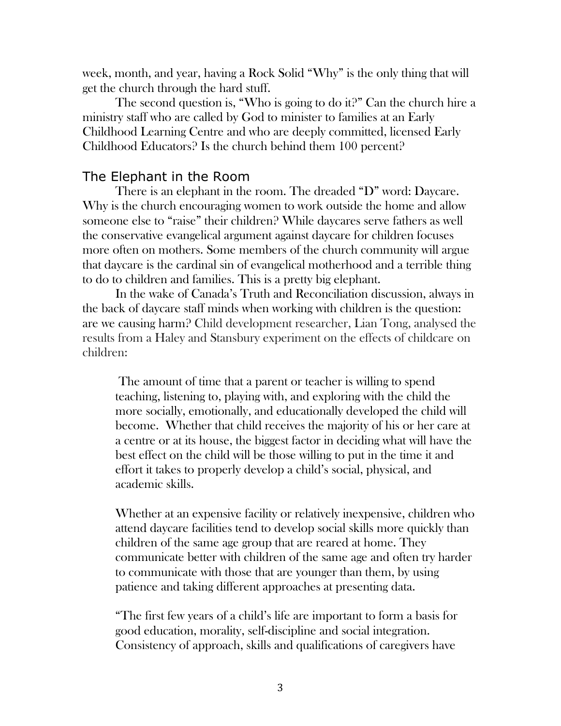week, month, and year, having a Rock Solid "Why" is the only thing that will get the church through the hard stuff.

The second question is, "Who is going to do it?" Can the church hire a ministry staff who are called by God to minister to families at an Early Childhood Learning Centre and who are deeply committed, licensed Early Childhood Educators? Is the church behind them 100 percent?

## The Elephant in the Room

There is an elephant in the room. The dreaded "D" word: Daycare. Why is the church encouraging women to work outside the home and allow someone else to "raise" their children? While daycares serve fathers as well the conservative evangelical argument against daycare for children focuses more often on mothers. Some members of the church community will argue that daycare is the cardinal sin of evangelical motherhood and a terrible thing to do to children and families. This is a pretty big elephant.

In the wake of Canada's Truth and Reconciliation discussion, always in the back of daycare staff minds when working with children is the question: are we causing harm? Child development researcher, Lian Tong, analysed the results from a Haley and Stansbury experiment on the effects of childcare on children:

The amount of time that a parent or teacher is willing to spend teaching, listening to, playing with, and exploring with the child the more socially, emotionally, and educationally developed the child will become. Whether that child receives the majority of his or her care at a centre or at its house, the biggest factor in deciding what will have the best effect on the child will be those willing to put in the time it and effort it takes to properly develop a child's social, physical, and academic skills.

Whether at an expensive facility or relatively inexpensive, children who attend daycare facilities tend to develop social skills more quickly than children of the same age group that are reared at home. They communicate better with children of the same age and often try harder to communicate with those that are younger than them, by using patience and taking different approaches at presenting data.

"The first few years of a child's life are important to form a basis for good education, morality, self-discipline and social integration. Consistency of approach, skills and qualifications of caregivers have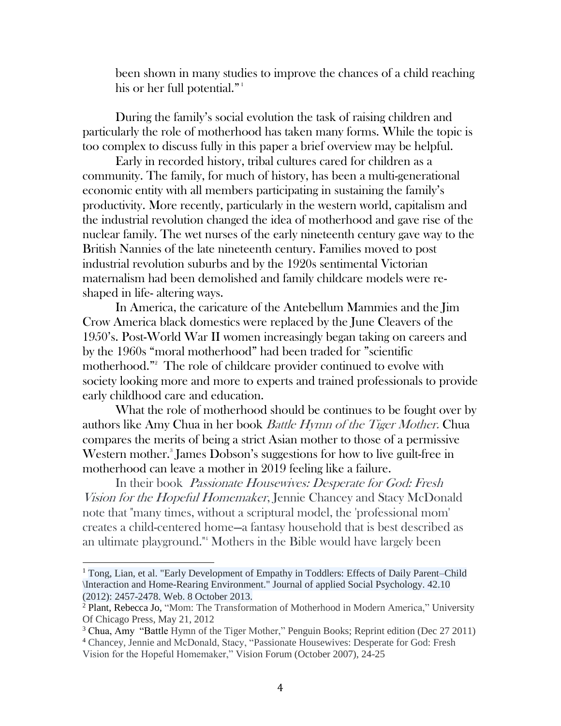been shown in many studies to improve the chances of a child reaching his or her full potential."<sup>1</sup>

During the family's social evolution the task of raising children and particularly the role of motherhood has taken many forms. While the topic is too complex to discuss fully in this paper a brief overview may be helpful.

Early in recorded history, tribal cultures cared for children as a community. The family, for much of history, has been a multi-generational economic entity with all members participating in sustaining the family's productivity. More recently, particularly in the western world, capitalism and the industrial revolution changed the idea of motherhood and gave rise of the nuclear family. The wet nurses of the early nineteenth century gave way to the British Nannies of the late nineteenth century. Families moved to post industrial revolution suburbs and by the 1920s sentimental Victorian maternalism had been demolished and family childcare models were reshaped in life- altering ways.

In America, the caricature of the Antebellum Mammies and the Jim Crow America black domestics were replaced by the June Cleavers of the 1950's. Post-World War II women increasingly began taking on careers and by the 1960s "moral motherhood" had been traded for "scientific motherhood."<sup>2</sup> The role of childcare provider continued to evolve with society looking more and more to experts and trained professionals to provide early childhood care and education.

What the role of motherhood should be continues to be fought over by authors like Amy Chua in her book Battle Hymn of the Tiger Mother. Chua compares the merits of being a strict Asian mother to those of a permissive Western mother.<sup>3</sup> James Dobson's suggestions for how to live guilt-free in motherhood can leave a mother in 2019 feeling like a failure.

In their book *Passionate Housewives: Desperate for God: Fresh* Vision for the Hopeful Homemaker, Jennie Chancey and Stacy McDonald note that "many times, without a scriptural model, the 'professional mom' creates a child-centered home—a fantasy household that is best described as an ultimate playground."<sup>4</sup> Mothers in the Bible would have largely been

 $\overline{a}$ 

<sup>&</sup>lt;sup>1</sup> Tong, Lian, et al. "Early Development of Empathy in Toddlers: Effects of Daily Parent–Child \Interaction and Home-Rearing Environment." Journal of applied Social Psychology. 42.10 (2012): 2457-2478. Web. 8 October 2013.

<sup>2</sup> Plant, Rebecca Jo, "Mom: The Transformation of Motherhood in Modern America," University Of Chicago Press, May 21, 2012

<sup>&</sup>lt;sup>3</sup> Chua, Amy "Battle Hymn of the Tiger Mother," Penguin Books; Reprint edition (Dec 27 2011) <sup>4</sup> Chancey, Jennie and McDonald, Stacy, "Passionate Housewives: Desperate for God: Fresh Vision for the Hopeful Homemaker," Vision Forum (October 2007), 24-25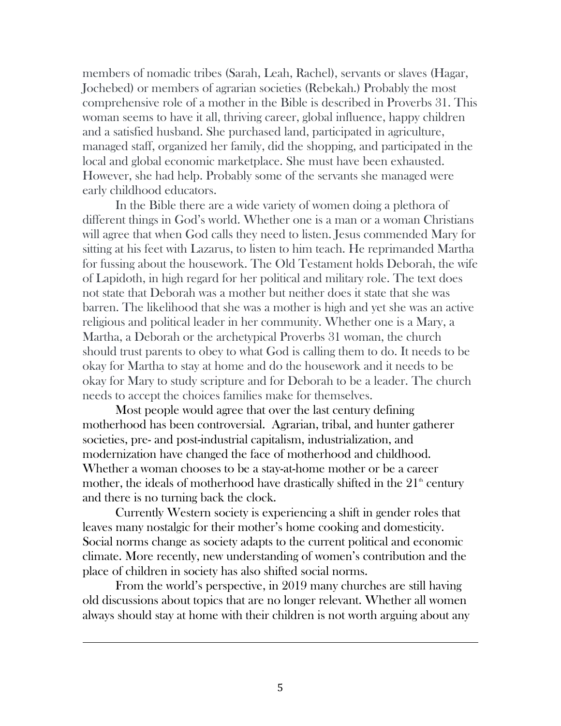members of nomadic tribes (Sarah, Leah, Rachel), servants or slaves (Hagar, Jochebed) or members of agrarian societies (Rebekah.) Probably the most comprehensive role of a mother in the Bible is described in Proverbs 31. This woman seems to have it all, thriving career, global influence, happy children and a satisfied husband. She purchased land, participated in agriculture, managed staff, organized her family, did the shopping, and participated in the local and global economic marketplace. She must have been exhausted. However, she had help. Probably some of the servants she managed were early childhood educators.

In the Bible there are a wide variety of women doing a plethora of different things in God's world. Whether one is a man or a woman Christians will agree that when God calls they need to listen. Jesus commended Mary for sitting at his feet with Lazarus, to listen to him teach. He reprimanded Martha for fussing about the housework. The Old Testament holds Deborah, the wife of Lapidoth, in high regard for her political and military role. The text does not state that Deborah was a mother but neither does it state that she was barren. The likelihood that she was a mother is high and yet she was an active religious and political leader in her community. Whether one is a Mary, a Martha, a Deborah or the archetypical Proverbs 31 woman, the church should trust parents to obey to what God is calling them to do. It needs to be okay for Martha to stay at home and do the housework and it needs to be okay for Mary to study scripture and for Deborah to be a leader. The church needs to accept the choices families make for themselves.

Most people would agree that over the last century defining motherhood has been controversial. Agrarian, tribal, and hunter gatherer societies, pre- and post-industrial capitalism, industrialization, and modernization have changed the face of motherhood and childhood. Whether a woman chooses to be a stay-at-home mother or be a career mother, the ideals of motherhood have drastically shifted in the  $21<sup>th</sup>$  century and there is no turning back the clock.

Currently Western society is experiencing a shift in gender roles that leaves many nostalgic for their mother's home cooking and domesticity. Social norms change as society adapts to the current political and economic climate. More recently, new understanding of women's contribution and the place of children in society has also shifted social norms.

From the world's perspective, in 2019 many churches are still having old discussions about topics that are no longer relevant. Whether all women always should stay at home with their children is not worth arguing about any

l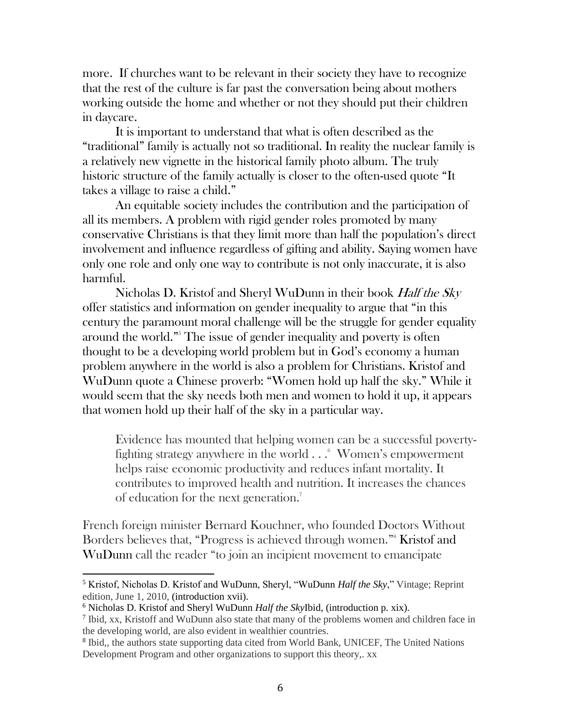more. If churches want to be relevant in their society they have to recognize that the rest of the culture is far past the conversation being about mothers working outside the home and whether or not they should put their children in daycare.

It is important to understand that what is often described as the "traditional" family is actually not so traditional. In reality the nuclear family is a relatively new vignette in the historical family photo album. The truly historic structure of the family actually is closer to the often-used quote "It takes a village to raise a child."

An equitable society includes the contribution and the participation of all its members. A problem with rigid gender roles promoted by many conservative Christians is that they limit more than half the population's direct involvement and influence regardless of gifting and ability. Saying women have only one role and only one way to contribute is not only inaccurate, it is also harmful.

Nicholas D. Kristof and Sheryl WuDunn in their book Half the Sky offer statistics and information on gender inequality to argue that "in this century the paramount moral challenge will be the struggle for gender equality around the world."<sup>5</sup> The issue of gender inequality and poverty is often thought to be a developing world problem but in God's economy a human problem anywhere in the world is also a problem for Christians. Kristof and WuDunn quote a Chinese proverb: "Women hold up half the sky." While it would seem that the sky needs both men and women to hold it up, it appears that women hold up their half of the sky in a particular way.

Evidence has mounted that helping women can be a successful povertyfighting strategy anywhere in the world  $\ldots$ <sup>6</sup> Women's empowerment helps raise economic productivity and reduces infant mortality. It contributes to improved health and nutrition. It increases the chances of education for the next generation.<sup>7</sup>

French foreign minister Bernard Kouchner, who founded Doctors Without Borders believes that, "Progress is achieved through women."<sup>8</sup> Kristof and WuDunn call the reader "to join an incipient movement to emancipate

 $\overline{\phantom{a}}$ <sup>5</sup> Kristof, Nicholas D. Kristof and WuDunn, Sheryl, "WuDunn *Half the Sky*," Vintage; Reprint edition, June 1, 2010, (introduction xvii).

<sup>6</sup> Nicholas D. Kristof and Sheryl WuDunn *Half the Sky*Ibid, (introduction p. xix).

<sup>&</sup>lt;sup>7</sup> Ibid, xx, Kristoff and WuDunn also state that many of the problems women and children face in the developing world, are also evident in wealthier countries.

<sup>&</sup>lt;sup>8</sup> Ibid,, the authors state supporting data cited from World Bank, UNICEF, The United Nations Development Program and other organizations to support this theory,. xx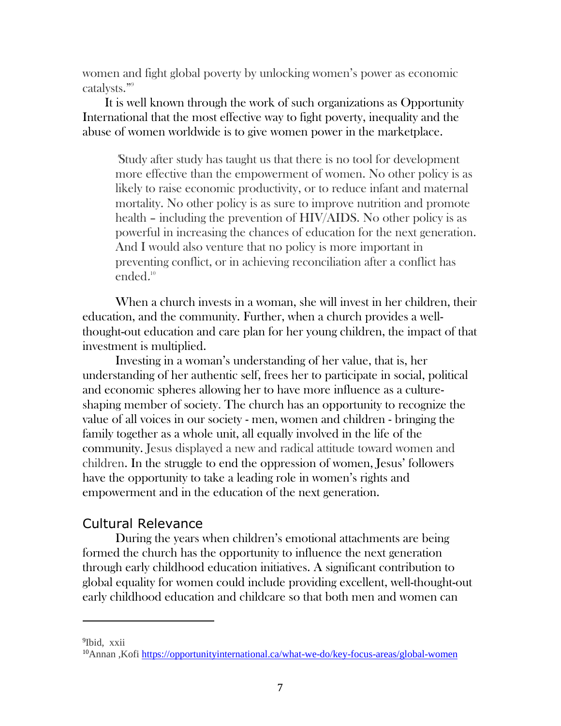women and fight global poverty by unlocking women's power as economic catalysts." 9

 It is well known through the work of such organizations as Opportunity International that the most effective way to fight poverty, inequality and the abuse of women worldwide is to give women power in the marketplace.

"Study after study has taught us that there is no tool for development more effective than the empowerment of women. No other policy is as likely to raise economic productivity, or to reduce infant and maternal mortality. No other policy is as sure to improve nutrition and promote health – including the prevention of HIV/AIDS. No other policy is as powerful in increasing the chances of education for the next generation. And I would also venture that no policy is more important in preventing conflict, or in achieving reconciliation after a conflict has ended. 10

When a church invests in a woman, she will invest in her children, their education, and the community. Further, when a church provides a wellthought-out education and care plan for her young children, the impact of that investment is multiplied.

Investing in a woman's understanding of her value, that is, her understanding of her authentic self, frees her to participate in social, political and economic spheres allowing her to have more influence as a cultureshaping member of society. The church has an opportunity to recognize the value of all voices in our society - men, women and children - bringing the family together as a whole unit, all equally involved in the life of the community. Jesus displayed a new and radical attitude toward women and children. In the struggle to end the oppression of women, Jesus' followers have the opportunity to take a leading role in women's rights and empowerment and in the education of the next generation.

## Cultural Relevance

During the years when children's emotional attachments are being formed the church has the opportunity to influence the next generation through early childhood education initiatives. A significant contribution to global equality for women could include providing excellent, well-thought-out early childhood education and childcare so that both men and women can

<sup>9</sup>Ibid, xxii

l

<sup>&</sup>lt;sup>10</sup>Annan, Kofi<https://opportunityinternational.ca/what-we-do/key-focus-areas/global-women>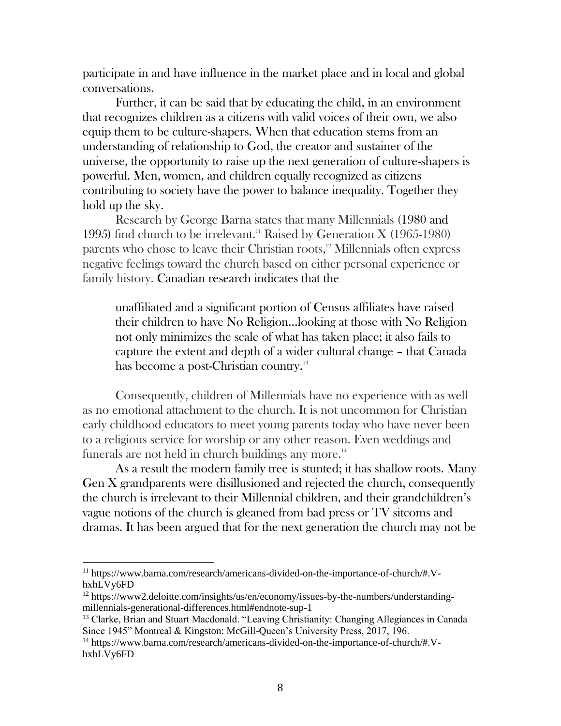participate in and have influence in the market place and in local and global conversations.

Further, it can be said that by educating the child, in an environment that recognizes children as a citizens with valid voices of their own, we also equip them to be culture-shapers. When that education stems from an understanding of relationship to God, the creator and sustainer of the universe, the opportunity to raise up the next generation of culture-shapers is powerful. Men, women, and children equally recognized as citizens contributing to society have the power to balance inequality. Together they hold up the sky.

Research by George Barna states that many Millennials (1980 and 1995) find church to be irrelevant.<sup>11</sup> Raised by Generation X (1965-1980) parents who chose to leave their Christian roots,<sup>12</sup> Millennials often express negative feelings toward the church based on either personal experience or family history. Canadian research indicates that the

unaffiliated and a significant portion of Census affiliates have raised their children to have No Religion…looking at those with No Religion not only minimizes the scale of what has taken place; it also fails to capture the extent and depth of a wider cultural change – that Canada has become a post-Christian country.<sup>13</sup>

Consequently, children of Millennials have no experience with as well as no emotional attachment to the church. It is not uncommon for Christian early childhood educators to meet young parents today who have never been to a religious service for worship or any other reason. Even weddings and funerals are not held in church buildings any more. $14$ 

As a result the modern family tree is stunted; it has shallow roots. Many Gen X grandparents were disillusioned and rejected the church, consequently the church is irrelevant to their Millennial children, and their grandchildren's vague notions of the church is gleaned from bad press or TV sitcoms and dramas. It has been argued that for the next generation the church may not be

<sup>11</sup> https://www.barna.com/research/americans-divided-on-the-importance-of-church/#.VhxhLVy6FD

<sup>&</sup>lt;sup>12</sup> https://www2.deloitte.com/insights/us/en/economy/issues-by-the-numbers/understandingmillennials-generational-differences.html#endnote-sup-1

<sup>&</sup>lt;sup>13</sup> Clarke, Brian and Stuart Macdonald. "Leaving Christianity: Changing Allegiances in Canada Since 1945" Montreal & Kingston: McGill-Queen's University Press, 2017, 196.

<sup>14</sup> https://www.barna.com/research/americans-divided-on-the-importance-of-church/#.VhxhLVy6FD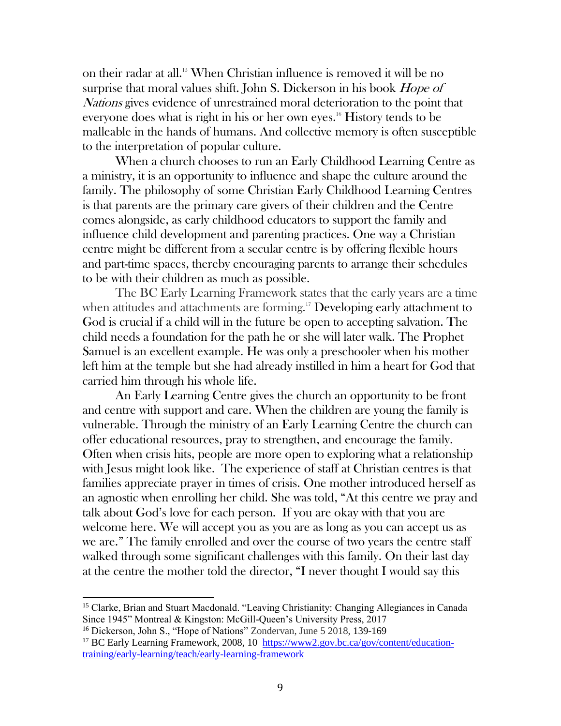on their radar at all.<sup>15</sup> When Christian influence is removed it will be no surprise that moral values shift. John S. Dickerson in his book *Hope of* Nations gives evidence of unrestrained moral deterioration to the point that everyone does what is right in his or her own eyes.<sup>16</sup> History tends to be malleable in the hands of humans. And collective memory is often susceptible to the interpretation of popular culture.

When a church chooses to run an Early Childhood Learning Centre as a ministry, it is an opportunity to influence and shape the culture around the family. The philosophy of some Christian Early Childhood Learning Centres is that parents are the primary care givers of their children and the Centre comes alongside, as early childhood educators to support the family and influence child development and parenting practices. One way a Christian centre might be different from a secular centre is by offering flexible hours and part-time spaces, thereby encouraging parents to arrange their schedules to be with their children as much as possible.

The BC Early Learning Framework states that the early years are a time when attitudes and attachments are forming.<sup>17</sup> Developing early attachment to God is crucial if a child will in the future be open to accepting salvation. The child needs a foundation for the path he or she will later walk. The Prophet Samuel is an excellent example. He was only a preschooler when his mother left him at the temple but she had already instilled in him a heart for God that carried him through his whole life.

An Early Learning Centre gives the church an opportunity to be front and centre with support and care. When the children are young the family is vulnerable. Through the ministry of an Early Learning Centre the church can offer educational resources, pray to strengthen, and encourage the family. Often when crisis hits, people are more open to exploring what a relationship with Jesus might look like. The experience of staff at Christian centres is that families appreciate prayer in times of crisis. One mother introduced herself as an agnostic when enrolling her child. She was told, "At this centre we pray and talk about God's love for each person. If you are okay with that you are welcome here. We will accept you as you are as long as you can accept us as we are." The family enrolled and over the course of two years the centre staff walked through some significant challenges with this family. On their last day at the centre the mother told the director, "I never thought I would say this

<sup>15</sup> Clarke, Brian and Stuart Macdonald. "Leaving Christianity: Changing Allegiances in Canada Since 1945" Montreal & Kingston: McGill-Queen's University Press, 2017

<sup>&</sup>lt;sup>16</sup> Dickerson, John S., "Hope of Nations" Zondervan, June 5 2018, 139-169

<sup>&</sup>lt;sup>17</sup> BC Early Learning Framework, 2008, 10 [https://www2.gov.bc.ca/gov/content/education](https://www2.gov.bc.ca/gov/content/education-training/early-learning/teach/early-learning-framework)[training/early-learning/teach/early-learning-framework](https://www2.gov.bc.ca/gov/content/education-training/early-learning/teach/early-learning-framework)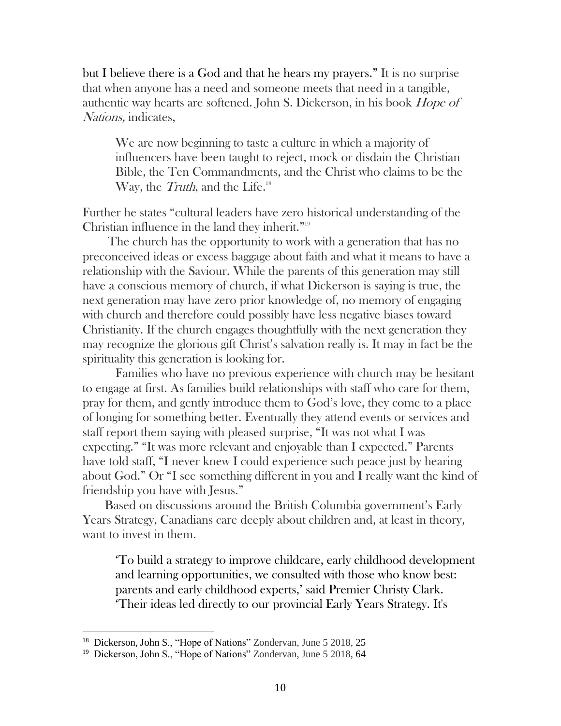but I believe there is a God and that he hears my prayers." It is no surprise that when anyone has a need and someone meets that need in a tangible, authentic way hearts are softened. John S. Dickerson, in his book Hope of Nations, indicates,

We are now beginning to taste a culture in which a majority of influencers have been taught to reject, mock or disdain the Christian Bible, the Ten Commandments, and the Christ who claims to be the Way, the Truth, and the Life.<sup>18</sup>

Further he states "cultural leaders have zero historical understanding of the Christian influence in the land they inherit."<sup>19</sup>

 The church has the opportunity to work with a generation that has no preconceived ideas or excess baggage about faith and what it means to have a relationship with the Saviour. While the parents of this generation may still have a conscious memory of church, if what Dickerson is saying is true, the next generation may have zero prior knowledge of, no memory of engaging with church and therefore could possibly have less negative biases toward Christianity. If the church engages thoughtfully with the next generation they may recognize the glorious gift Christ's salvation really is. It may in fact be the spirituality this generation is looking for.

Families who have no previous experience with church may be hesitant to engage at first. As families build relationships with staff who care for them, pray for them, and gently introduce them to God's love, they come to a place of longing for something better. Eventually they attend events or services and staff report them saying with pleased surprise, "It was not what I was expecting." "It was more relevant and enjoyable than I expected." Parents have told staff, "I never knew I could experience such peace just by hearing about God." Or "I see something different in you and I really want the kind of friendship you have with Jesus."

 Based on discussions around the British Columbia government's Early Years Strategy, Canadians care deeply about children and, at least in theory, want to invest in them.

'To build a strategy to improve childcare, early childhood development and learning opportunities, we consulted with those who know best: parents and early childhood experts,' said Premier Christy Clark. 'Their ideas led directly to our provincial Early Years Strategy. It's

 18 Dickerson, John S., "Hope of Nations" Zondervan, June 5 2018, 25

<sup>&</sup>lt;sup>19</sup> Dickerson, John S., "Hope of Nations" Zondervan, June 5 2018, 64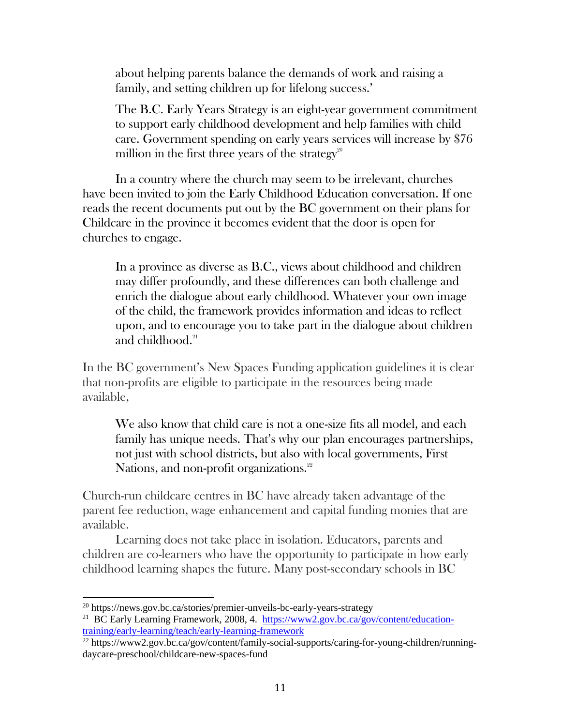about helping parents balance the demands of work and raising a family, and setting children up for lifelong success.'

The B.C. Early Years Strategy is an eight-year government commitment to support early childhood development and help families with child care. Government spending on early years services will increase by \$76 million in the first three years of the strategy<sup>20</sup>

In a country where the church may seem to be irrelevant, churches have been invited to join the Early Childhood Education conversation. If one reads the recent documents put out by the BC government on their plans for Childcare in the province it becomes evident that the door is open for churches to engage.

In a province as diverse as B.C., views about childhood and children may differ profoundly, and these differences can both challenge and enrich the dialogue about early childhood. Whatever your own image of the child, the framework provides information and ideas to reflect upon, and to encourage you to take part in the dialogue about children and childhood. $21$ 

In the BC government's New Spaces Funding application guidelines it is clear that non-profits are eligible to participate in the resources being made available,

We also know that child care is not a one-size fits all model, and each family has unique needs. That's why our plan encourages partnerships, not just with school districts, but also with local governments, First Nations, and non-profit organizations.<sup>22</sup>

Church-run childcare centres in BC have already taken advantage of the parent fee reduction, wage enhancement and capital funding monies that are available.

Learning does not take place in isolation. Educators, parents and children are co-learners who have the opportunity to participate in how early childhood learning shapes the future. Many post-secondary schools in BC

<sup>20</sup> https://news.gov.bc.ca/stories/premier-unveils-bc-early-years-strategy

<sup>&</sup>lt;sup>21</sup> BC Early Learning Framework, 2008, 4. [https://www2.gov.bc.ca/gov/content/education](https://www2.gov.bc.ca/gov/content/education-training/early-learning/teach/early-learning-framework)[training/early-learning/teach/early-learning-framework](https://www2.gov.bc.ca/gov/content/education-training/early-learning/teach/early-learning-framework)

<sup>&</sup>lt;sup>22</sup> https://www2.gov.bc.ca/gov/content/family-social-supports/caring-for-young-children/runningdaycare-preschool/childcare-new-spaces-fund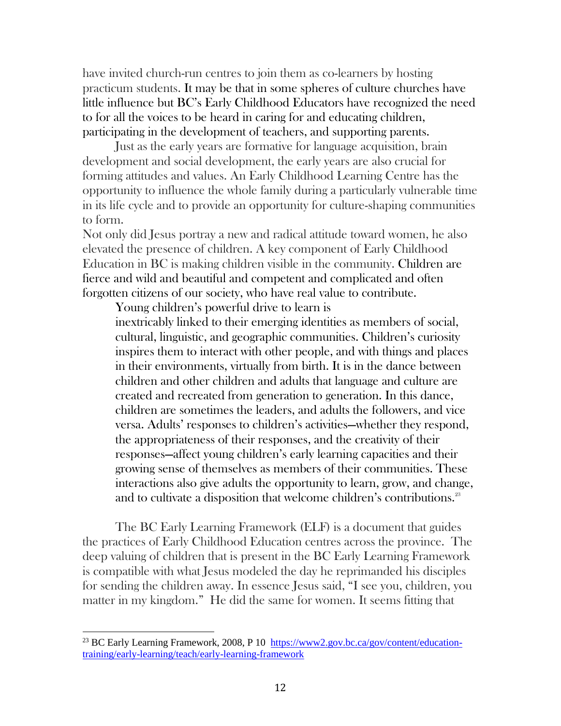have invited church-run centres to join them as co-learners by hosting practicum students. It may be that in some spheres of culture churches have little influence but BC's Early Childhood Educators have recognized the need to for all the voices to be heard in caring for and educating children, participating in the development of teachers, and supporting parents.

Just as the early years are formative for language acquisition, brain development and social development, the early years are also crucial for forming attitudes and values. An Early Childhood Learning Centre has the opportunity to influence the whole family during a particularly vulnerable time in its life cycle and to provide an opportunity for culture-shaping communities to form.

Not only did Jesus portray a new and radical attitude toward women, he also elevated the presence of children. A key component of Early Childhood Education in BC is making children visible in the community. Children are fierce and wild and beautiful and competent and complicated and often forgotten citizens of our society, who have real value to contribute.

Young children's powerful drive to learn is inextricably linked to their emerging identities as members of social, cultural, linguistic, and geographic communities. Children's curiosity inspires them to interact with other people, and with things and places in their environments, virtually from birth. It is in the dance between children and other children and adults that language and culture are created and recreated from generation to generation. In this dance, children are sometimes the leaders, and adults the followers, and vice versa. Adults' responses to children's activities—whether they respond, the appropriateness of their responses, and the creativity of their responses—affect young children's early learning capacities and their growing sense of themselves as members of their communities. These interactions also give adults the opportunity to learn, grow, and change, and to cultivate a disposition that welcome children's contributions.<sup>23</sup>

The BC Early Learning Framework (ELF) is a document that guides the practices of Early Childhood Education centres across the province. The deep valuing of children that is present in the BC Early Learning Framework is compatible with what Jesus modeled the day he reprimanded his disciples for sending the children away. In essence Jesus said, "I see you, children, you matter in my kingdom." He did the same for women. It seems fitting that

l

<sup>&</sup>lt;sup>23</sup> BC Early Learning Framework, 2008, P 10 [https://www2.gov.bc.ca/gov/content/education](https://www2.gov.bc.ca/gov/content/education-training/early-learning/teach/early-learning-framework)[training/early-learning/teach/early-learning-framework](https://www2.gov.bc.ca/gov/content/education-training/early-learning/teach/early-learning-framework)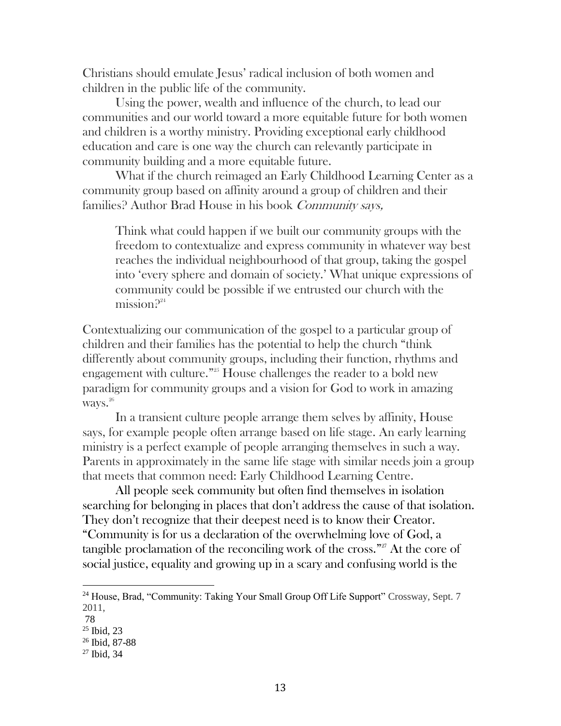Christians should emulate Jesus' radical inclusion of both women and children in the public life of the community.

Using the power, wealth and influence of the church, to lead our communities and our world toward a more equitable future for both women and children is a worthy ministry. Providing exceptional early childhood education and care is one way the church can relevantly participate in community building and a more equitable future.

What if the church reimaged an Early Childhood Learning Center as a community group based on affinity around a group of children and their families? Author Brad House in his book Community says,

Think what could happen if we built our community groups with the freedom to contextualize and express community in whatever way best reaches the individual neighbourhood of that group, taking the gospel into 'every sphere and domain of society.' What unique expressions of community could be possible if we entrusted our church with the mission $2^{24}$ 

Contextualizing our communication of the gospel to a particular group of children and their families has the potential to help the church "think differently about community groups, including their function, rhythms and engagement with culture."<sup>25</sup> House challenges the reader to a bold new paradigm for community groups and a vision for God to work in amazing ways. 26

In a transient culture people arrange them selves by affinity, House says, for example people often arrange based on life stage. An early learning ministry is a perfect example of people arranging themselves in such a way. Parents in approximately in the same life stage with similar needs join a group that meets that common need: Early Childhood Learning Centre.

All people seek community but often find themselves in isolation searching for belonging in places that don't address the cause of that isolation. They don't recognize that their deepest need is to know their Creator. "Community is for us a declaration of the overwhelming love of God, a tangible proclamation of the reconciling work of the cross."<sup>27</sup> At the core of social justice, equality and growing up in a scary and confusing world is the

<sup>&</sup>lt;sup>24</sup> House, Brad, "Community: Taking Your Small Group Off Life Support" Crossway, Sept. 7 2011,

<sup>78</sup>

 $25$  Ibid, 23

<sup>26</sup> Ibid, 87-88

<sup>27</sup> Ibid, 34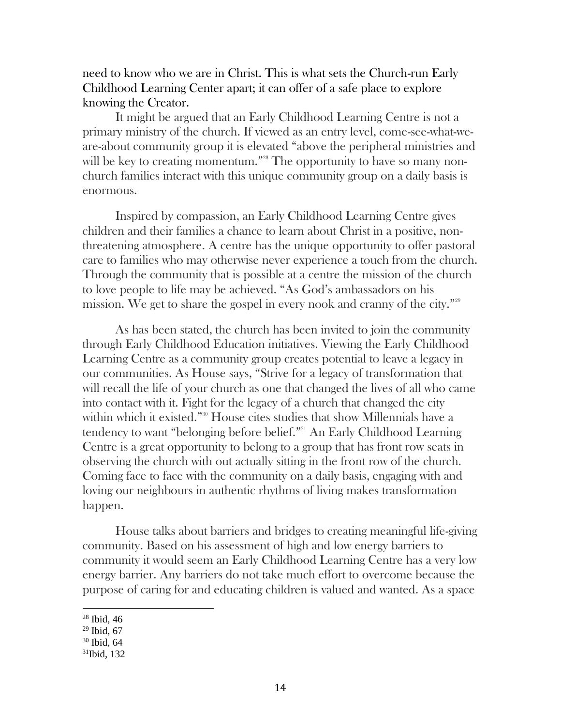need to know who we are in Christ. This is what sets the Church-run Early Childhood Learning Center apart; it can offer of a safe place to explore knowing the Creator.

It might be argued that an Early Childhood Learning Centre is not a primary ministry of the church. If viewed as an entry level, come-see-what-weare-about community group it is elevated "above the peripheral ministries and will be key to creating momentum."<sup>28</sup> The opportunity to have so many nonchurch families interact with this unique community group on a daily basis is enormous.

Inspired by compassion, an Early Childhood Learning Centre gives children and their families a chance to learn about Christ in a positive, nonthreatening atmosphere. A centre has the unique opportunity to offer pastoral care to families who may otherwise never experience a touch from the church. Through the community that is possible at a centre the mission of the church to love people to life may be achieved. "As God's ambassadors on his mission. We get to share the gospel in every nook and cranny of the city."<sup>29</sup>

As has been stated, the church has been invited to join the community through Early Childhood Education initiatives. Viewing the Early Childhood Learning Centre as a community group creates potential to leave a legacy in our communities. As House says, "Strive for a legacy of transformation that will recall the life of your church as one that changed the lives of all who came into contact with it. Fight for the legacy of a church that changed the city within which it existed."<sup>30</sup> House cites studies that show Millennials have a tendency to want "belonging before belief."<sup>31</sup> An Early Childhood Learning Centre is a great opportunity to belong to a group that has front row seats in observing the church with out actually sitting in the front row of the church. Coming face to face with the community on a daily basis, engaging with and loving our neighbours in authentic rhythms of living makes transformation happen.

House talks about barriers and bridges to creating meaningful life-giving community. Based on his assessment of high and low energy barriers to community it would seem an Early Childhood Learning Centre has a very low energy barrier. Any barriers do not take much effort to overcome because the purpose of caring for and educating children is valued and wanted. As a space

 $28$  Ibid, 46

 $29$  Ibid, 67

<sup>30</sup> Ibid, 64

<sup>31</sup>Ibid, 132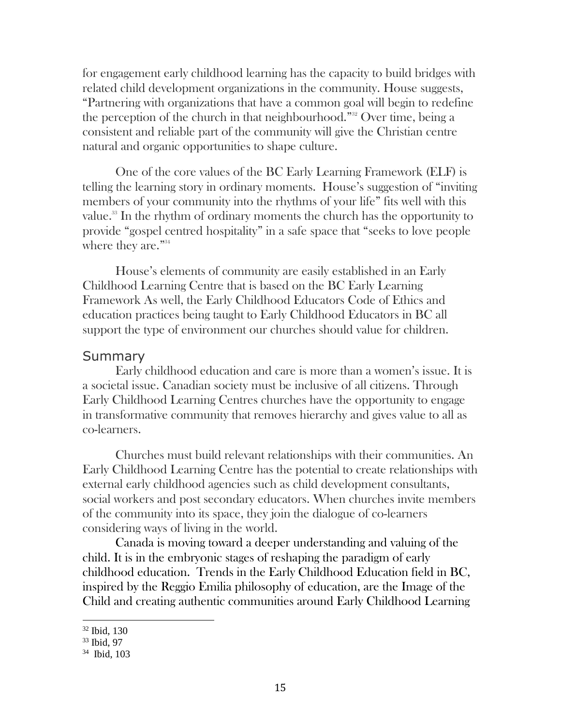for engagement early childhood learning has the capacity to build bridges with related child development organizations in the community. House suggests, "Partnering with organizations that have a common goal will begin to redefine the perception of the church in that neighbourhood."<sup>32</sup> Over time, being a consistent and reliable part of the community will give the Christian centre natural and organic opportunities to shape culture.

One of the core values of the BC Early Learning Framework (ELF) is telling the learning story in ordinary moments. House's suggestion of "inviting members of your community into the rhythms of your life" fits well with this value.<sup>33</sup> In the rhythm of ordinary moments the church has the opportunity to provide "gospel centred hospitality" in a safe space that "seeks to love people where they are."<sup>34</sup>

House's elements of community are easily established in an Early Childhood Learning Centre that is based on the BC Early Learning Framework As well, the Early Childhood Educators Code of Ethics and education practices being taught to Early Childhood Educators in BC all support the type of environment our churches should value for children.

#### **Summary**

Early childhood education and care is more than a women's issue. It is a societal issue. Canadian society must be inclusive of all citizens. Through Early Childhood Learning Centres churches have the opportunity to engage in transformative community that removes hierarchy and gives value to all as co-learners.

Churches must build relevant relationships with their communities. An Early Childhood Learning Centre has the potential to create relationships with external early childhood agencies such as child development consultants, social workers and post secondary educators. When churches invite members of the community into its space, they join the dialogue of co-learners considering ways of living in the world.

Canada is moving toward a deeper understanding and valuing of the child. It is in the embryonic stages of reshaping the paradigm of early childhood education. Trends in the Early Childhood Education field in BC, inspired by the Reggio Emilia philosophy of education, are the Image of the Child and creating authentic communities around Early Childhood Learning

<sup>32</sup> Ibid, 130

<sup>33</sup> Ibid, 97

<sup>34</sup> Ibid, 103